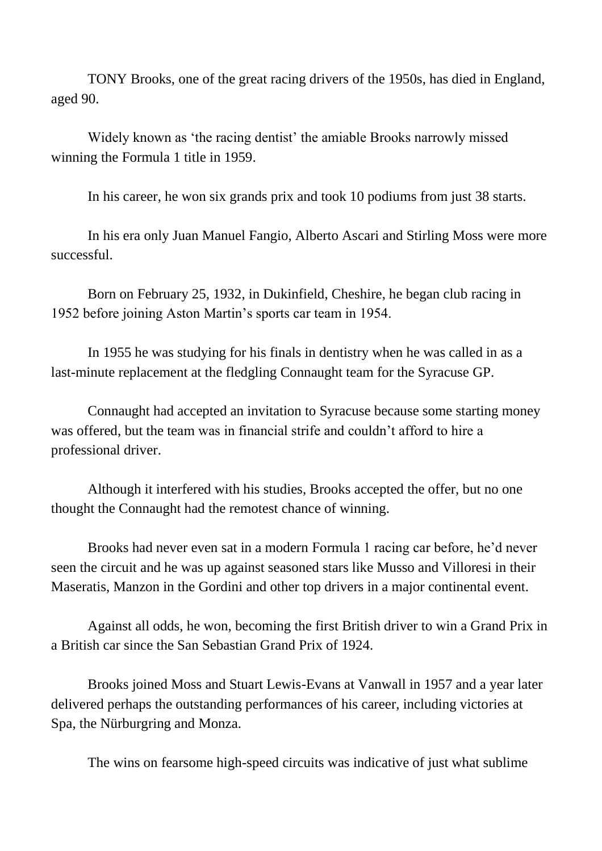TONY Brooks, one of the great racing drivers of the 1950s, has died in England, aged 90.

Widely known as 'the racing dentist' the amiable Brooks narrowly missed winning the Formula 1 title in 1959.

In his career, he won six grands prix and took 10 podiums from just 38 starts.

In his era only Juan Manuel Fangio, Alberto Ascari and Stirling Moss were more successful.

Born on February 25, 1932, in Dukinfield, Cheshire, he began club racing in 1952 before joining Aston Martin's sports car team in 1954.

In 1955 he was studying for his finals in dentistry when he was called in as a last-minute replacement at the fledgling Connaught team for the Syracuse GP.

Connaught had accepted an invitation to Syracuse because some starting money was offered, but the team was in financial strife and couldn't afford to hire a professional driver.

Although it interfered with his studies, Brooks accepted the offer, but no one thought the Connaught had the remotest chance of winning.

Brooks had never even sat in a modern Formula 1 racing car before, he'd never seen the circuit and he was up against seasoned stars like Musso and Villoresi in their Maseratis, Manzon in the Gordini and other top drivers in a major continental event.

Against all odds, he won, becoming the first British driver to win a Grand Prix in a British car since the San Sebastian Grand Prix of 1924.

Brooks joined Moss and Stuart Lewis-Evans at Vanwall in 1957 and a year later delivered perhaps the outstanding performances of his career, including victories at Spa, the Nürburgring and Monza.

The wins on fearsome high-speed circuits was indicative of just what sublime